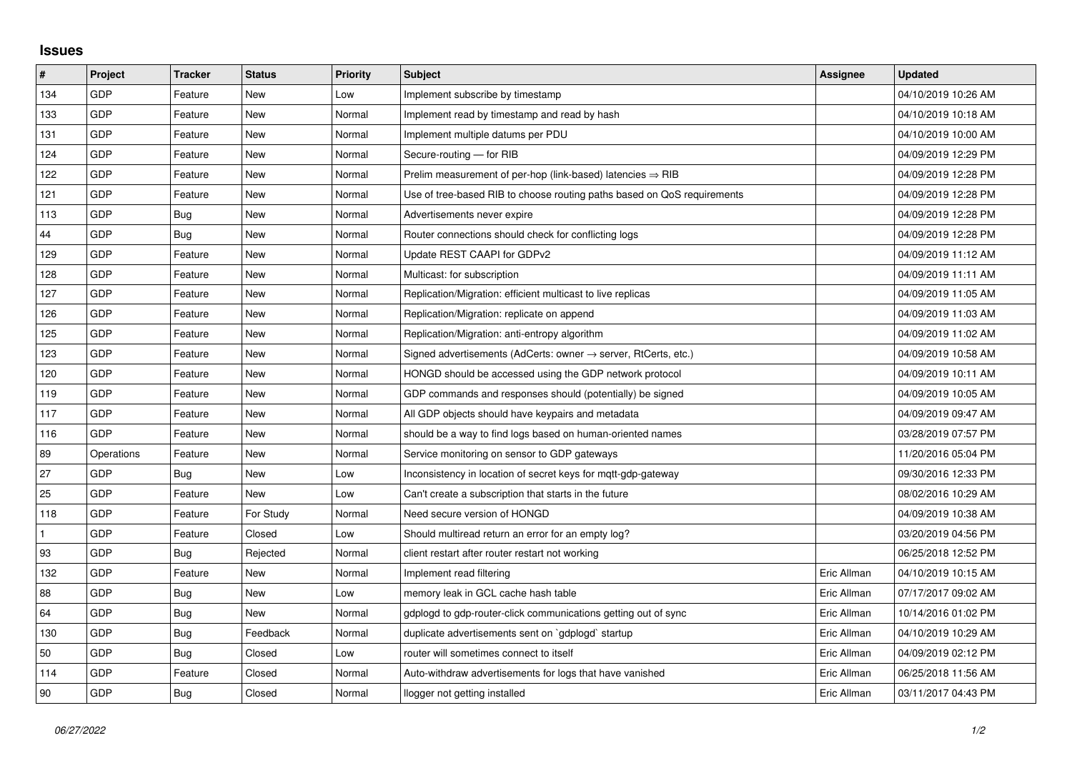## **Issues**

| #   | Project    | <b>Tracker</b> | <b>Status</b> | <b>Priority</b> | <b>Subject</b>                                                             | Assignee    | <b>Updated</b>      |
|-----|------------|----------------|---------------|-----------------|----------------------------------------------------------------------------|-------------|---------------------|
| 134 | GDP        | Feature        | <b>New</b>    | Low             | Implement subscribe by timestamp                                           |             | 04/10/2019 10:26 AM |
| 133 | GDP        | Feature        | New           | Normal          | Implement read by timestamp and read by hash                               |             | 04/10/2019 10:18 AM |
| 131 | GDP        | Feature        | New           | Normal          | Implement multiple datums per PDU                                          |             | 04/10/2019 10:00 AM |
| 124 | GDP        | Feature        | <b>New</b>    | Normal          | Secure-routing - for RIB                                                   |             | 04/09/2019 12:29 PM |
| 122 | GDP        | Feature        | New           | Normal          | Prelim measurement of per-hop (link-based) latencies $\Rightarrow$ RIB     |             | 04/09/2019 12:28 PM |
| 121 | GDP        | Feature        | New           | Normal          | Use of tree-based RIB to choose routing paths based on QoS requirements    |             | 04/09/2019 12:28 PM |
| 113 | GDP        | <b>Bug</b>     | <b>New</b>    | Normal          | Advertisements never expire                                                |             | 04/09/2019 12:28 PM |
| 44  | GDP        | Bug            | New           | Normal          | Router connections should check for conflicting logs                       |             | 04/09/2019 12:28 PM |
| 129 | GDP        | Feature        | <b>New</b>    | Normal          | Update REST CAAPI for GDPv2                                                |             | 04/09/2019 11:12 AM |
| 128 | GDP        | Feature        | New           | Normal          | Multicast: for subscription                                                |             | 04/09/2019 11:11 AM |
| 127 | GDP        | Feature        | New           | Normal          | Replication/Migration: efficient multicast to live replicas                |             | 04/09/2019 11:05 AM |
| 126 | GDP        | Feature        | New           | Normal          | Replication/Migration: replicate on append                                 |             | 04/09/2019 11:03 AM |
| 125 | GDP        | Feature        | New           | Normal          | Replication/Migration: anti-entropy algorithm                              |             | 04/09/2019 11:02 AM |
| 123 | GDP        | Feature        | New           | Normal          | Signed advertisements (AdCerts: owner $\rightarrow$ server, RtCerts, etc.) |             | 04/09/2019 10:58 AM |
| 120 | GDP        | Feature        | <b>New</b>    | Normal          | HONGD should be accessed using the GDP network protocol                    |             | 04/09/2019 10:11 AM |
| 119 | GDP        | Feature        | New           | Normal          | GDP commands and responses should (potentially) be signed                  |             | 04/09/2019 10:05 AM |
| 117 | GDP        | Feature        | New           | Normal          | All GDP objects should have keypairs and metadata                          |             | 04/09/2019 09:47 AM |
| 116 | GDP        | Feature        | New           | Normal          | should be a way to find logs based on human-oriented names                 |             | 03/28/2019 07:57 PM |
| 89  | Operations | Feature        | New           | Normal          | Service monitoring on sensor to GDP gateways                               |             | 11/20/2016 05:04 PM |
| 27  | GDP        | Bug            | <b>New</b>    | Low             | Inconsistency in location of secret keys for mqtt-gdp-gateway              |             | 09/30/2016 12:33 PM |
| 25  | GDP        | Feature        | New           | Low             | Can't create a subscription that starts in the future                      |             | 08/02/2016 10:29 AM |
| 118 | GDP        | Feature        | For Study     | Normal          | Need secure version of HONGD                                               |             | 04/09/2019 10:38 AM |
|     | <b>GDP</b> | Feature        | Closed        | Low             | Should multiread return an error for an empty log?                         |             | 03/20/2019 04:56 PM |
| 93  | GDP        | Bug            | Rejected      | Normal          | client restart after router restart not working                            |             | 06/25/2018 12:52 PM |
| 132 | GDP        | Feature        | New           | Normal          | Implement read filtering                                                   | Eric Allman | 04/10/2019 10:15 AM |
| 88  | GDP        | Bug            | <b>New</b>    | Low             | memory leak in GCL cache hash table                                        | Eric Allman | 07/17/2017 09:02 AM |
| 64  | GDP        | Bug            | New           | Normal          | gdplogd to gdp-router-click communications getting out of sync             | Eric Allman | 10/14/2016 01:02 PM |
| 130 | GDP        | <b>Bug</b>     | Feedback      | Normal          | duplicate advertisements sent on `gdplogd` startup                         | Eric Allman | 04/10/2019 10:29 AM |
| 50  | GDP        | Bug            | Closed        | Low             | router will sometimes connect to itself                                    | Eric Allman | 04/09/2019 02:12 PM |
| 114 | GDP        | Feature        | Closed        | Normal          | Auto-withdraw advertisements for logs that have vanished                   | Eric Allman | 06/25/2018 11:56 AM |
| 90  | GDP        | <b>Bug</b>     | Closed        | Normal          | llogger not getting installed                                              | Eric Allman | 03/11/2017 04:43 PM |